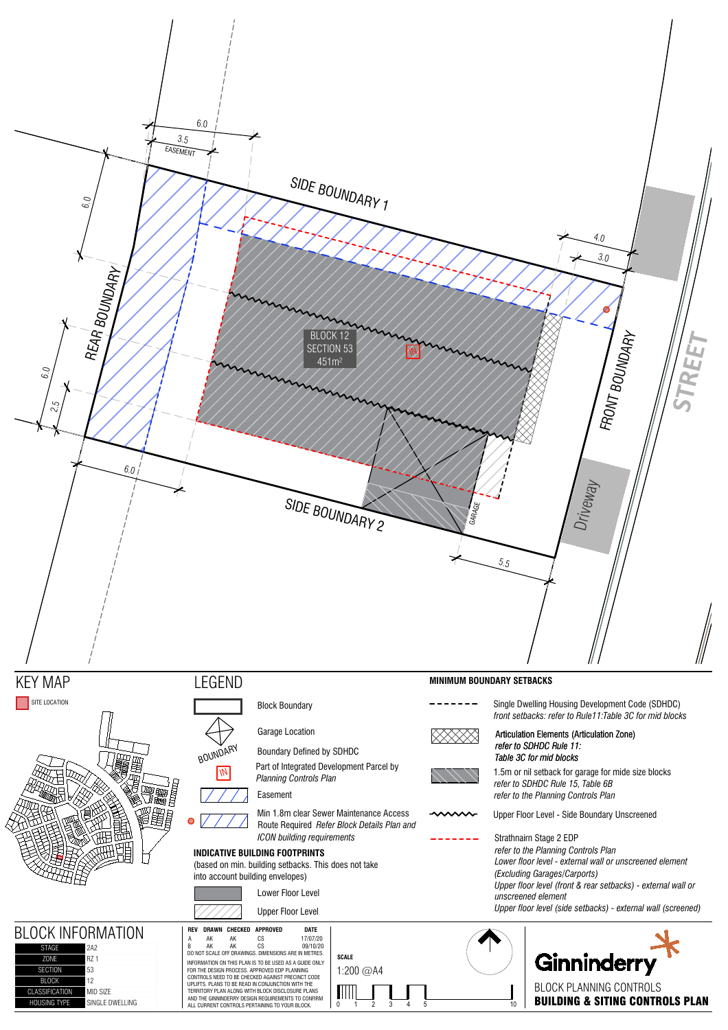